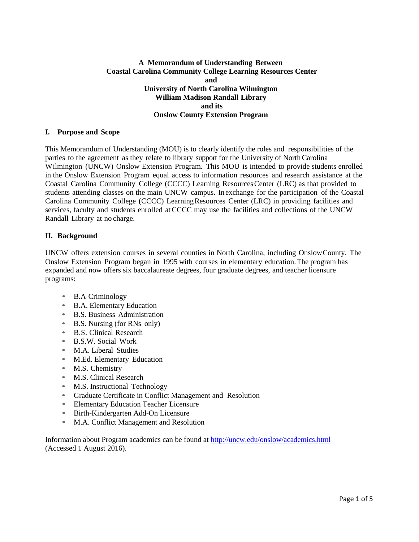## **A Memorandum of Understanding Between Coastal Carolina Community College Learning Resources Center and University of North Carolina Wilmington William Madison Randall Library and its Onslow County Extension Program**

### **I. Purpose and Scope**

This Memorandum of Understanding (MOU) is to clearly identify the roles and responsibilities of the parties to the agreement as they relate to library support for the University of NorthCarolina Wilmington (UNCW) Onslow Extension Program. This MOU is intended to provide students enrolled in the Onslow Extension Program equal access to information resources and research assistance at the Coastal Carolina Community College (CCCC) Learning ResourcesCenter (LRC) as that provided to students attending classes on the main UNCW campus. Inexchange for the participation of the Coastal Carolina Community College (CCCC) LearningResources Center (LRC) in providing facilities and services, faculty and students enrolled atCCCC may use the facilities and collections of the UNCW Randall Library at no charge.

## **II. Background**

UNCW offers extension courses in several counties in North Carolina, including OnslowCounty. The Onslow Extension Program began in 1995 with courses in elementary education.The program has expanded and now offers six baccalaureate degrees, four graduate degrees, and teacher licensure programs:

- B.A Criminology
- B.A. Elementary Education
- B.S. Business Administration
- B.S. Nursing (for RNs only)
- B.S. Clinical Research
- B.S.W. Social Work
- M.A. Liberal Studies
- M.Ed. Elementary Education
- M.S. Chemistry
- M.S. Clinical Research
- M.S. Instructional Technology
- Graduate Certificate in Conflict Management and Resolution
- Elementary Education Teacher Licensure
- Birth-Kindergarten Add-On Licensure
- M.A. Conflict Management and Resolution

Information about Program academics can be found at<http://uncw.edu/onslow/academics.html> (Accessed 1 August 2016).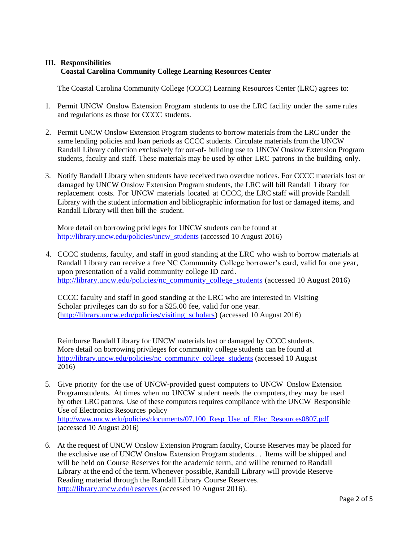# **III. Responsibilities Coastal Carolina Community College Learning Resources Center**

The Coastal Carolina Community College (CCCC) Learning Resources Center (LRC) agrees to:

- 1. Permit UNCW Onslow Extension Program students to use the LRC facility under the same rules and regulations as those for CCCC students.
- 2. Permit UNCW Onslow Extension Program students to borrow materials from the LRC under the same lending policies and loan periods as CCCC students. Circulate materials from the UNCW Randall Library collection exclusively for out-of- building use to UNCW Onslow Extension Program students, faculty and staff. These materials may be used by other LRC patrons in the building only.
- 3. Notify Randall Library when students have received two overdue notices. For CCCC materials lost or damaged by UNCW Onslow Extension Program students, the LRC will bill Randall Library for replacement costs. For UNCW materials located at CCCC, the LRC staff will provide Randall Library with the student information and bibliographic information for lost or damaged items, and Randall Library will then bill the student.

More detail on borrowing privileges for UNCW students can be found at [http://library.uncw.edu/policies/uncw\\_students](http://library.uncw.edu/policies/uncw_students) (accessed 10 August 2016)

4. CCCC students, faculty, and staff in good standing at the LRC who wish to borrow materials at Randall Library can receive a free NC Community College borrower's card, valid for one year, upon presentation of a valid community college ID card. [http://library.uncw.edu/policies/nc\\_community\\_college\\_students](http://library.uncw.edu/policies/nc_community_college_students) (accessed 10 August 2016)

CCCC faculty and staff in good standing at the LRC who are interested in Visiting Scholar privileges can do so for a \$25.00 fee, valid for one year. [\(http://library.uncw.edu/policies/visiting\\_scholars\)](http://library.uncw.edu/policies/visiting_scholars) (accessed 10 August 2016)

Reimburse Randall Library for UNCW materials lost or damaged by CCCC students. More detail on borrowing privileges for community college students can be found at [http://library.uncw.edu/policies/nc\\_community\\_college\\_students](http://library.uncw.edu/policies/nc_community_college_students) (accessed 10 August 2016)

- 5. Give priority for the use of UNCW-provided guest computers to UNCW Onslow Extension Programstudents. At times when no UNCW student needs the computers, they may be used by other LRC patrons. Use of these computers requires compliance with the UNCW Responsible Use of Electronics Resources policy http://www.uncw.edu/policies/documents/07.100 Resp\_Use\_of\_Elec\_Resources0807.pdf (accessed 10 August 2016)
- 6. At the request of UNCW Onslow Extension Program faculty, Course Reserves may be placed for the exclusive use of UNCW Onslow Extension Program students.. . Items will be shipped and will be held on Course Reserves for the academic term, and will be returned to Randall Library at the end of the term. Whenever possible, Randall Library will provide Reserve Reading material through the Randall Library Course Reserves. <http://library.uncw.edu/reserves> (accessed 10 August 2016).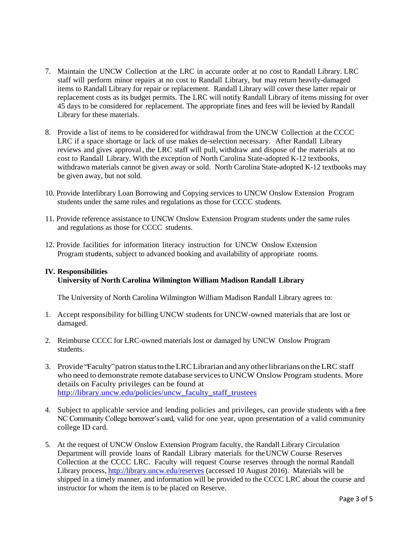- 7. Maintain the UNCW Collection at the LRC in accurate order at no cost to Randall Library. LRC staff will perform minor repairs at no cost to Randall Library, but may return heavily-damaged items to Randall Library for repair or replacement. Randall Library will cover these latter repair or replacement costs as its budget permits. The LRC will notify Randall Library of items missing for over 45 days to be considered for replacement. The appropriate fines and fees will be levied by Randall Library for these materials.
- 8. Provide a list of items to be considered for withdrawal from the UNCW Collection at the CCCC LRC if a space shortage or lack of use makes de-selection necessary. After Randall Library reviews and gives approval, the LRC staff will pull, withdraw and dispose of the materials at no cost to Randall Library. With the exception of North Carolina State-adopted K-12 textbooks, withdrawn materials cannot be given away or sold. North Carolina State-adopted K-12 textbooks may be given away, but not sold.
- 10. Provide Interlibrary Loan Borrowing and Copying services to UNCW Onslow Extension Program students under the same rules and regulations as those for CCCC students.
- 11. Provide reference assistance to UNCW Onslow Extension Program students under the same rules and regulations as those for CCCC students.
- 12. Provide facilities for information literacy instruction for UNCW Onslow Extension Program students, subject to advanced booking and availability of appropriate rooms.

## **IV. Responsibilities**

# **University of North Carolina Wilmington William Madison Randall Library**

The University of North Carolina Wilmington William Madison Randall Library agrees to:

- 1. Accept responsibility for billing UNCW students for UNCW-owned materials that are lost or damaged.
- 2. Reimburse CCCC for LRC-owned materials lost or damaged by UNCW Onslow Program students.
- 3. Provide "Faculty"patron statustotheLRCLibrarian and any otherlibrarians ontheLRC staff who need to demonstrate remote database services to UNCW Onslow Program students. More details on Faculty privileges can be found at [http://library.uncw.edu/policies/uncw\\_faculty\\_staff\\_trustees](http://library.uncw.edu/policies/uncw_faculty_staff_trustees)
- 4. Subject to applicable service and lending policies and privileges, can provide students with a free NC Community College borrower's card, valid for one year, upon presentation of a valid community college ID card.
- 5. At the request of UNCW Onslow Extension Program faculty, the Randall Library Circulation Department will provide loans of Randall Library materials for theUNCW Course Reserves Collection at the CCCC LRC. Faculty will request Course reserves through the normal Randall Library process,<http://library.uncw.edu/reserves> (accessed 10 August 2016). Materials will be shipped in a timely manner, and information will be provided to the CCCC LRC about the course and instructor for whom the item is to be placed on Reserve.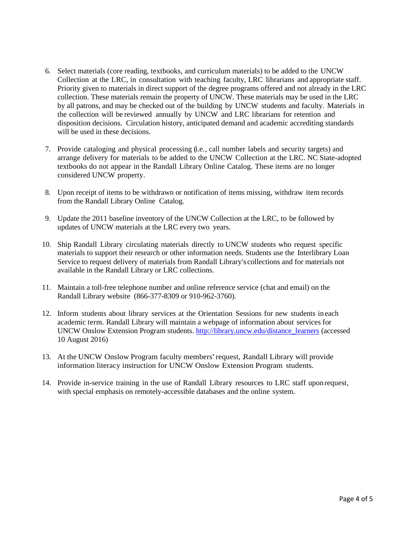- 6. Select materials (core reading, textbooks, and curriculum materials) to be added to the UNCW Collection at the LRC, in consultation with teaching faculty, LRC librarians and appropriate staff. Priority given to materials in direct support of the degree programs offered and not already in the LRC collection. These materials remain the property of UNCW. These materials may be used in the LRC by all patrons, and may be checked out of the building by UNCW students and faculty. Materials in the collection will be reviewed annually by UNCW and LRC librarians for retention and disposition decisions. Circulation history, anticipated demand and academic accrediting standards will be used in these decisions.
- 7. Provide cataloging and physical processing (i.e., call number labels and security targets) and arrange delivery for materials to be added to the UNCW Collection at the LRC. NC State-adopted textbooks do not appear in the Randall Library Online Catalog. These items are no longer considered UNCW property.
- 8. Upon receipt of items to be withdrawn or notification of items missing, withdraw item records from the Randall Library Online Catalog.
- 9. Update the 2011 baseline inventory of the UNCW Collection at the LRC, to be followed by updates of UNCW materials at the LRC every two years.
- 10. Ship Randall Library circulating materials directly to UNCW students who request specific materials to support their research or other information needs. Students use the Interlibrary Loan Service to request delivery of materials from Randall Library'scollections and for materials not available in the Randall Library or LRC collections.
- 11. Maintain a toll-free telephone number and online reference service (chat and email) on the Randall Library website (866-377-8309 or 910-962-3760).
- 12. Inform students about library services at the Orientation Sessions for new students in each academic term. Randall Library will maintain a webpage of information about services for UNCW Onslow Extension Program students. [http://library.uncw.edu/distance\\_learners](http://library.uncw.edu/distance_learners) (accessed 10 August 2016)
- 13. At the UNCW Onslow Program faculty members' request, Randall Library will provide information literacy instruction for UNCW Onslow Extension Program students.
- 14. Provide in-service training in the use of Randall Library resources to LRC staff uponrequest, with special emphasis on remotely-accessible databases and the online system.